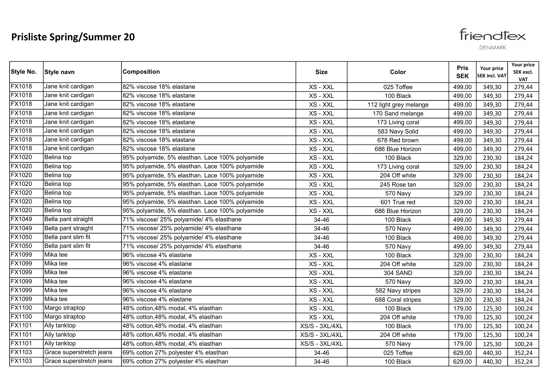friendfex

| Style No.     | Style navn               | <b>Composition</b>                              | <b>Size</b>    | Color                  | <b>Pris</b><br><b>SEK</b> | Your price<br>SEK incl. VAT | Your price<br>SEK excl.<br><b>VAT</b> |
|---------------|--------------------------|-------------------------------------------------|----------------|------------------------|---------------------------|-----------------------------|---------------------------------------|
| <b>FX1018</b> | Jane knit cardigan       | 82% viscose 18% elastane                        | XS - XXL       | 025 Toffee             | 499,00                    | 349,30                      | 279,44                                |
| FX1018        | Jane knit cardigan       | 82% viscose 18% elastane                        | XS - XXL       | 100 Black              | 499,00                    | 349,30                      | 279,44                                |
| FX1018        | Jane knit cardigan       | 82% viscose 18% elastane                        | XS - XXL       | 112 light grey melange | 499,00                    | 349,30                      | 279,44                                |
| FX1018        | Jane knit cardigan       | 82% viscose 18% elastane                        | XS - XXL       | 170 Sand melange       | 499,00                    | 349,30                      | 279,44                                |
| FX1018        | Jane knit cardigan       | 82% viscose 18% elastane                        | XS - XXL       | 173 Living coral       | 499,00                    | 349,30                      | 279,44                                |
| FX1018        | Jane knit cardigan       | 82% viscose 18% elastane                        | XS - XXL       | 583 Navy Solid         | 499,00                    | 349,30                      | 279,44                                |
| FX1018        | Jane knit cardigan       | 82% viscose 18% elastane                        | XS - XXL       | 678 Red brown          | 499,00                    | 349,30                      | 279,44                                |
| FX1018        | Jane knit cardigan       | 82% viscose 18% elastane                        | XS - XXL       | 686 Blue Horizon       | 499,00                    | 349,30                      | 279,44                                |
| FX1020        | Belina top               | 95% polyamide, 5% elasthan. Lace 100% polyamide | XS - XXL       | 100 Black              | 329,00                    | 230,30                      | 184,24                                |
| <b>FX1020</b> | Belina top               | 95% polyamide, 5% elasthan. Lace 100% polyamide | XS - XXL       | 173 Living coral       | 329,00                    | 230,30                      | 184,24                                |
| <b>FX1020</b> | Belina top               | 95% polyamide, 5% elasthan. Lace 100% polyamide | XS - XXL       | 204 Off white          | 329,00                    | 230,30                      | 184,24                                |
| FX1020        | Belina top               | 95% polyamide, 5% elasthan. Lace 100% polyamide | XS - XXL       | 245 Rose tan           | 329,00                    | 230,30                      | 184,24                                |
| <b>FX1020</b> | Belina top               | 95% polyamide, 5% elasthan. Lace 100% polyamide | XS - XXL       | 570 Navy               | 329,00                    | 230,30                      | 184,24                                |
| FX1020        | Belina top               | 95% polyamide, 5% elasthan. Lace 100% polyamide | XS - XXL       | 601 True red           | 329,00                    | 230,30                      | 184,24                                |
| <b>FX1020</b> | Belina top               | 95% polyamide, 5% elasthan. Lace 100% polyamide | XS - XXL       | 686 Blue Horizon       | 329,00                    | 230,30                      | 184,24                                |
| FX1049        | Bella pant straight      | 71% viscose/ 25% polyamide/ 4% elasthane        | 34-46          | 100 Black              | 499,00                    | 349,30                      | 279,44                                |
| FX1049        | Bella pant straight      | 71% viscose/ 25% polyamide/ 4% elasthane        | 34-46          | 570 Navy               | 499,00                    | 349,30                      | 279,44                                |
| FX1050        | Bella pant slim fit      | 71% viscose/ 25% polyamide/ 4% elasthane        | 34-46          | 100 Black              | 499,00                    | 349,30                      | 279,44                                |
| FX1050        | Bella pant slim fit      | 71% viscose/ 25% polyamide/ 4% elasthane        | 34-46          | 570 Navy               | 499,00                    | 349,30                      | 279,44                                |
| FX1099        | IMika tee                | 96% viscose 4% elastane                         | XS - XXL       | 100 Black              | 329,00                    | 230,30                      | 184,24                                |
| FX1099        | Mika tee                 | 96% viscose 4% elastane                         | XS - XXL       | 204 Off white          | 329,00                    | 230,30                      | 184,24                                |
| FX1099        | Mika tee                 | 96% viscose 4% elastane                         | XS - XXL       | <b>304 SAND</b>        | 329,00                    | 230,30                      | 184,24                                |
| FX1099        | Mika tee                 | 96% viscose 4% elastane                         | XS - XXL       | 570 Navy               | 329,00                    | 230,30                      | 184,24                                |
| FX1099        | Mika tee                 | 96% viscose 4% elastane                         | XS - XXL       | 582 Navy stripes       | 329,00                    | 230,30                      | 184,24                                |
| FX1099        | Mika tee                 | 96% viscose 4% elastane                         | XS - XXL       | 688 Coral stripes      | 329,00                    | 230,30                      | 184,24                                |
| <b>FX1100</b> | Margo straptop           | 48% cotton, 48% modal, 4% elasthan              | XS - XXL       | 100 Black              | 179,00                    | 125,30                      | 100,24                                |
| <b>FX1100</b> | Margo straptop           | 48% cotton, 48% modal, 4% elasthan              | XS - XXL       | 204 Off white          | 179,00                    | 125,30                      | 100,24                                |
| FX1101        | Ally tanktop             | 48% cotton, 48% modal, 4% elasthan              | XS/S - 3XL/4XL | 100 Black              | 179,00                    | 125,30                      | 100,24                                |
| FX1101        | Ally tanktop             | 48% cotton, 48% modal, 4% elasthan              | XS/S - 3XL/4XL | 204 Off white          | 179,00                    | 125,30                      | 100,24                                |
| FX1101        | Ally tanktop             | 48% cotton, 48% modal, 4% elasthan              | XS/S - 3XL/4XL | 570 Navy               | 179,00                    | 125,30                      | 100,24                                |
| FX1103        | Grace superstretch jeans | 69% cotton 27% polyester 4% elasthan            | 34-46          | 025 Toffee             | 629,00                    | 440,30                      | 352,24                                |
| FX1103        | Grace superstretch jeans | 69% cotton 27% polyester 4% elasthan            | 34-46          | 100 Black              | 629,00                    | 440,30                      | 352,24                                |
|               |                          |                                                 |                |                        |                           |                             |                                       |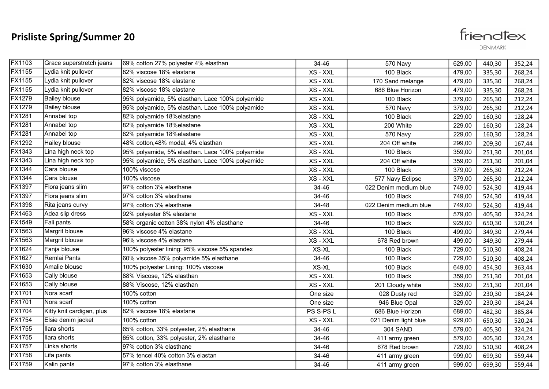friendfex

| FX1103        | Grace superstretch jeans  | 69% cotton 27% polyester 4% elasthan            | 34-46     | 570 Navy              | 629,00 | 440,30 | 352,24 |
|---------------|---------------------------|-------------------------------------------------|-----------|-----------------------|--------|--------|--------|
| FX1155        | Lydia knit pullover       | 82% viscose 18% elastane                        | XS - XXL  | 100 Black             | 479,00 | 335,30 | 268,24 |
| FX1155        | Lydia knit pullover       | 82% viscose 18% elastane                        | XS - XXL  | 170 Sand melange      | 479,00 | 335,30 | 268,24 |
| FX1155        | Lydia knit pullover       | 82% viscose 18% elastane                        | XS - XXL  | 686 Blue Horizon      | 479,00 | 335,30 | 268,24 |
| FX1279        | <b>Bailey blouse</b>      | 95% polyamide, 5% elasthan. Lace 100% polyamide | XS - XXL  | 100 Black             | 379,00 | 265,30 | 212,24 |
| FX1279        | <b>Bailey blouse</b>      | 95% polyamide, 5% elasthan. Lace 100% polyamide | XS - XXL  | 570 Navy              | 379,00 | 265,30 | 212,24 |
| FX1281        | Annabel top               | 82% polyamide 18%elastane                       | XS - XXL  | 100 Black             | 229,00 | 160,30 | 128,24 |
| <b>FX1281</b> | Annabel top               | 82% polyamide 18% elastane                      | XS - XXL  | 200 White             | 229,00 | 160,30 | 128,24 |
| FX1281        | Annabel top               | 82% polyamide 18% elastane                      | XS - XXL  | 570 Navy              | 229,00 | 160,30 | 128,24 |
| FX1292        | Hailey blouse             | 48% cotton, 48% modal, 4% elasthan              | XS - XXL  | 204 Off white         | 299,00 | 209,30 | 167,44 |
| FX1343        | Lina high neck top        | 95% polyamide, 5% elasthan. Lace 100% polyamide | XS - XXL  | 100 Black             | 359,00 | 251,30 | 201,04 |
| FX1343        | Lina high neck top        | 95% polyamide, 5% elasthan. Lace 100% polyamide | XS - XXL  | 204 Off white         | 359,00 | 251,30 | 201,04 |
| FX1344        | Cara blouse               | 100% viscose                                    | XS - XXL  | 100 Black             | 379,00 | 265,30 | 212,24 |
| FX1344        | Cara blouse               | 100% viscose                                    | XS - XXL  | 577 Navy Eclipse      | 379,00 | 265,30 | 212,24 |
| <b>FX1397</b> | Flora jeans slim          | 97% cotton 3% elasthane                         | 34-46     | 022 Denim medium blue | 749,00 | 524,30 | 419,44 |
| FX1397        | Flora jeans slim          | 97% cotton 3% elasthane                         | 34-46     | 100 Black             | 749,00 | 524,30 | 419,44 |
| FX1398        | Rita jeans curvy          | 97% cotton 3% elasthane                         | 34-48     | 022 Denim medium blue | 749,00 | 524,30 | 419,44 |
| FX1463        | Adea slip dress           | 92% polyester 8% elastane                       | XS - XXL  | 100 Black             | 579,00 | 405,30 | 324,24 |
| FX1549        | Fali pants                | 58% organic cotton 38% nylon 4% elasthane       | 34-46     | 100 Black             | 929,00 | 650,30 | 520,24 |
| FX1563        | Margrit blouse            | 96% viscose 4% elastane                         | XS - XXL  | 100 Black             | 499,00 | 349,30 | 279,44 |
| FX1563        | Margrit blouse            | 96% viscose 4% elastane                         | XS - XXL  | 678 Red brown         | 499,00 | 349,30 | 279,44 |
| FX1624        | Fanja blouse              | 100% polyester lining: 95% viscose 5% spandex   | XS-XL     | 100 Black             | 729,00 | 510,30 | 408,24 |
| FX1627        | Remlai Pants              | 60% viscose 35% polyamide 5% elasthane          | 34-46     | 100 Black             | 729,00 | 510,30 | 408,24 |
| FX1630        | Amalie blouse             | 100% polyester Lining: 100% viscose             | XS-XL     | 100 Black             | 649,00 | 454,30 | 363,44 |
| FX1653        | Cally blouse              | 88% Viscose, 12% elasthan                       | XS - XXL  | 100 Black             | 359,00 | 251,30 | 201,04 |
| FX1653        | Cally blouse              | 88% Viscose, 12% elasthan                       | XS - XXL  | 201 Cloudy white      | 359,00 | 251,30 | 201,04 |
| FX1701        | Nora scarf                | 100% cotton                                     | One size  | 028 Dusty red         | 329,00 | 230,30 | 184,24 |
| FX1701        | Nora scarf                | 100% cotton                                     | One size  | 946 Blue Opal         | 329,00 | 230,30 | 184,24 |
| FX1704        | Kitty knit cardigan, plus | 82% viscose 18% elastane                        | PS S-PS L | 686 Blue Horizon      | 689,00 | 482,30 | 385,84 |
| <b>FX1754</b> | Elsie denim jacket        | 100% cotton                                     | XS - XXL  | 021 Denim light blue  | 929,00 | 650,30 | 520,24 |
| <b>FX1755</b> | Ilara shorts              | 65% cotton, 33% polyester, 2% elasthane         | 34-46     | <b>304 SAND</b>       | 579,00 | 405,30 | 324,24 |
| FX1755        | Ilara shorts              | 65% cotton, 33% polyester, 2% elasthane         | 34-46     | 411 army green        | 579,00 | 405,30 | 324,24 |
| <b>FX1757</b> | Linka shorts              | 97% cotton 3% elasthane                         | 34-46     | 678 Red brown         | 729,00 | 510,30 | 408,24 |
| <b>FX1758</b> | Lifa pants                | 57% tencel 40% cotton 3% elastan                | 34-46     | 411 army green        | 999,00 | 699,30 | 559,44 |
| FX1759        | Kalin pants               | 97% cotton 3% elasthane                         | 34-46     | 411 army green        | 999,00 | 699,30 | 559,44 |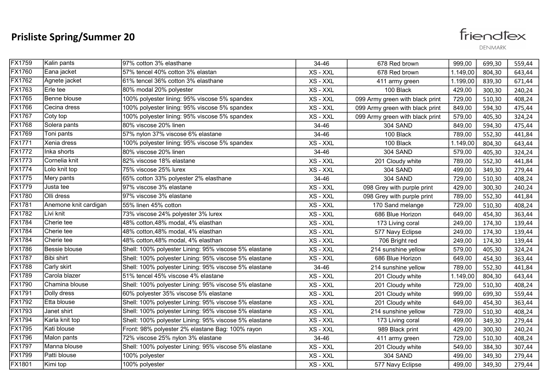friendfex

| Eana jacket<br>57% tencel 40% cotton 3% elastan<br>XS - XXL<br>678 Red brown<br>1.149,00<br>804,30<br>643,44<br>FX1762<br>Agnete jacket<br>61% tencel 36% cotton 3% elasthane<br>XS - XXL<br>1.199,00<br>839,30<br>671,44<br>411 army green<br>FX1763<br>Erle tee<br>80% modal 20% polyester<br>XS - XXL<br>100 Black<br>429,00<br>300,30<br>240,24<br>FX1765<br>100% polyester lining: 95% viscose 5% spandex<br>Benne blouse<br>XS - XXL<br>099 Army green with black print<br>729,00<br>408,24<br>510,30<br>FX1766<br>Cecina dress<br>100% polyester lining: 95% viscose 5% spandex<br>XS - XXL<br>099 Army green with black print<br>849,00<br>594,30<br>475,44<br><b>FX1767</b><br>100% polyester lining: 95% viscose 5% spandex<br>Coty top<br>XS - XXL<br>099 Army green with black print<br>579,00<br>405,30<br>324,24<br><b>FX1768</b><br>80% viscose 20% linen<br>Solera pants<br>34-46<br>304 SAND<br>849,00<br>475,44<br>594,30<br>FX1769<br>Toni pants<br>57% nylon 37% viscose 6% elastane<br>34-46<br>100 Black<br>789,00<br>441,84<br>552,30<br>FX1771<br>100% polyester lining: 95% viscose 5% spandex<br>Xenia dress<br>XS - XXL<br>1.149,00<br>643,44<br>100 Black<br>804,30<br>FX1772<br>80% viscose 20% linen<br>Inka shorts<br>34-46<br>304 SAND<br>579,00<br>405,30<br>324,24<br><b>FX1773</b><br>Cornelia knit<br>82% viscose 18% elastane<br>XS - XXL<br>201 Cloudy white<br>789,00<br>441,84<br>552,30<br><b>FX1774</b><br>75% viscose 25% lurex<br>Lolo knit top<br>XS - XXL<br><b>304 SAND</b><br>499,00<br>349,30<br>279,44<br><b>FX1775</b><br>65% cotton 33% polyester 2% elasthane<br>Mery pants<br><b>304 SAND</b><br>34-46<br>729,00<br>408,24<br>510,30<br><b>FX1779</b><br>Justa tee<br>97% viscose 3% elastane<br>XS - XXL<br>098 Grey with purple print<br>429,00<br>300,30<br>240,24<br>FX1780<br>Olli dress<br>97% viscose 3% elastane<br>XS - XXL<br>098 Grey with purple print<br>789,00<br>552,30<br>441,84<br>FX1781<br>Anemone knit cardigan<br>55% linen 45% cotton<br>XS - XXL<br>729,00<br>170 Sand melange<br>510,30<br>408,24<br>FX1782<br>Livi knit<br>73% viscose 24% polyester 3% lurex<br>XS - XXL<br>686 Blue Horizon<br>649,00<br>454,30<br>363,44<br>FX1784<br>Cherie tee<br>48% cotton, 48% modal, 4% elasthan<br>XS - XXL<br>173 Living coral<br>249,00<br>174,30<br>139,44<br><b>FX1784</b><br>Cherie tee<br>48% cotton, 48% modal, 4% elasthan<br>XS - XXL<br>577 Navy Eclipse<br>249,00<br>174,30<br>139,44<br><b>FX1784</b><br>Cherie tee<br>48% cotton, 48% modal, 4% elasthan<br>XS - XXL<br>706 Bright red<br>249,00<br>174,30<br>139,44<br><b>FX1786</b><br>Bessie blouse<br>Shell: 100% polyester Lining: 95% viscose 5% elastane<br>XS - XXL<br>214 sunshine yellow<br>579,00<br>405,30<br>324,24<br><b>FX1787</b><br>Shell: 100% polyester Lining: 95% viscose 5% elastane<br>Bibi shirt<br>XS - XXL<br>686 Blue Horizon<br>649,00<br>454,30<br>363,44<br><b>FX1788</b><br>Carly skirt<br>Shell: 100% polyester Lining: 95% viscose 5% elastane<br>34-46<br>789,00<br>214 sunshine yellow<br>441,84<br>552,30<br><b>FX1789</b><br>51% tencel 45% viscose 4% elastane<br>Carola blazer<br>XS - XXL<br>201 Cloudy white<br>1.149,00<br>643,44<br>804,30<br>FX1790<br>Chamina blouse<br>Shell: 100% polyester Lining: 95% viscose 5% elastane<br>XS - XXL<br>729,00<br>201 Cloudy white<br>510,30<br>408,24<br>FX1791<br>60% polyester 35% viscose 5% elastane<br>Dolly dress<br>XS - XXL<br>999,00<br>699,30<br>559,44<br>201 Cloudy white<br>FX1792<br>Etta blouse<br>Shell: 100% polyester Lining: 95% viscose 5% elastane<br>XS - XXL<br>201 Cloudy white<br>649,00<br>454,30<br>363,44<br>FX1793<br>Shell: 100% polyester Lining: 95% viscose 5% elastane<br>Janet shirt<br>XS - XXL<br>214 sunshine yellow<br>729,00<br>408,24<br>510,30<br>FX1794<br>Shell: 100% polyester Lining: 95% viscose 5% elastane<br>Karla knit top<br>XS - XXL<br>173 Living coral<br>499,00<br>349,30<br>279,44<br><b>FX1795</b><br>Kati blouse<br>Front: 98% polyester 2% elastane Bag: 100% rayon<br>XS - XXL<br>989 Black print<br>429,00<br>300,30<br>240,24<br><b>FX1796</b><br>Malon pants<br>72% viscose 25% nylon 3% elastane<br>34-46<br>729,00<br>411 army green<br>510,30<br>408,24<br><b>FX1797</b><br>Manna blouse<br>Shell: 100% polyester Lining: 95% viscose 5% elastane<br>XS - XXL<br>201 Cloudy white<br>549,00<br>384,30<br>307,44<br><b>FX1799</b><br>Patti blouse<br>XS - XXL<br><b>304 SAND</b><br>100% polyester<br>499,00<br>349,30<br>279,44<br>FX1801<br>Kimi top<br>100% polyester<br>XS - XXL<br>577 Navy Eclipse<br>499,00<br>349,30<br>279,44 | FX1759 | Kalin pants | 97% cotton 3% elasthane | 34-46 | 678 Red brown | 999,00 | 699,30 | 559,44 |
|-----------------------------------------------------------------------------------------------------------------------------------------------------------------------------------------------------------------------------------------------------------------------------------------------------------------------------------------------------------------------------------------------------------------------------------------------------------------------------------------------------------------------------------------------------------------------------------------------------------------------------------------------------------------------------------------------------------------------------------------------------------------------------------------------------------------------------------------------------------------------------------------------------------------------------------------------------------------------------------------------------------------------------------------------------------------------------------------------------------------------------------------------------------------------------------------------------------------------------------------------------------------------------------------------------------------------------------------------------------------------------------------------------------------------------------------------------------------------------------------------------------------------------------------------------------------------------------------------------------------------------------------------------------------------------------------------------------------------------------------------------------------------------------------------------------------------------------------------------------------------------------------------------------------------------------------------------------------------------------------------------------------------------------------------------------------------------------------------------------------------------------------------------------------------------------------------------------------------------------------------------------------------------------------------------------------------------------------------------------------------------------------------------------------------------------------------------------------------------------------------------------------------------------------------------------------------------------------------------------------------------------------------------------------------------------------------------------------------------------------------------------------------------------------------------------------------------------------------------------------------------------------------------------------------------------------------------------------------------------------------------------------------------------------------------------------------------------------------------------------------------------------------------------------------------------------------------------------------------------------------------------------------------------------------------------------------------------------------------------------------------------------------------------------------------------------------------------------------------------------------------------------------------------------------------------------------------------------------------------------------------------------------------------------------------------------------------------------------------------------------------------------------------------------------------------------------------------------------------------------------------------------------------------------------------------------------------------------------------------------------------------------------------------------------------------------------------------------------------------------------------------------------------------------------------------------------------------------------------------------------------------------------------------------------------------------------------------------------------------------------------------------------------------------------------------------------------------------------------------------------------------------------------------------------------------------------------------------------------------------------------------|--------|-------------|-------------------------|-------|---------------|--------|--------|--------|
|                                                                                                                                                                                                                                                                                                                                                                                                                                                                                                                                                                                                                                                                                                                                                                                                                                                                                                                                                                                                                                                                                                                                                                                                                                                                                                                                                                                                                                                                                                                                                                                                                                                                                                                                                                                                                                                                                                                                                                                                                                                                                                                                                                                                                                                                                                                                                                                                                                                                                                                                                                                                                                                                                                                                                                                                                                                                                                                                                                                                                                                                                                                                                                                                                                                                                                                                                                                                                                                                                                                                                                                                                                                                                                                                                                                                                                                                                                                                                                                                                                                                                                                                                                                                                                                                                                                                                                                                                                                                                                                                                                                                                                   | FX1760 |             |                         |       |               |        |        |        |
|                                                                                                                                                                                                                                                                                                                                                                                                                                                                                                                                                                                                                                                                                                                                                                                                                                                                                                                                                                                                                                                                                                                                                                                                                                                                                                                                                                                                                                                                                                                                                                                                                                                                                                                                                                                                                                                                                                                                                                                                                                                                                                                                                                                                                                                                                                                                                                                                                                                                                                                                                                                                                                                                                                                                                                                                                                                                                                                                                                                                                                                                                                                                                                                                                                                                                                                                                                                                                                                                                                                                                                                                                                                                                                                                                                                                                                                                                                                                                                                                                                                                                                                                                                                                                                                                                                                                                                                                                                                                                                                                                                                                                                   |        |             |                         |       |               |        |        |        |
|                                                                                                                                                                                                                                                                                                                                                                                                                                                                                                                                                                                                                                                                                                                                                                                                                                                                                                                                                                                                                                                                                                                                                                                                                                                                                                                                                                                                                                                                                                                                                                                                                                                                                                                                                                                                                                                                                                                                                                                                                                                                                                                                                                                                                                                                                                                                                                                                                                                                                                                                                                                                                                                                                                                                                                                                                                                                                                                                                                                                                                                                                                                                                                                                                                                                                                                                                                                                                                                                                                                                                                                                                                                                                                                                                                                                                                                                                                                                                                                                                                                                                                                                                                                                                                                                                                                                                                                                                                                                                                                                                                                                                                   |        |             |                         |       |               |        |        |        |
|                                                                                                                                                                                                                                                                                                                                                                                                                                                                                                                                                                                                                                                                                                                                                                                                                                                                                                                                                                                                                                                                                                                                                                                                                                                                                                                                                                                                                                                                                                                                                                                                                                                                                                                                                                                                                                                                                                                                                                                                                                                                                                                                                                                                                                                                                                                                                                                                                                                                                                                                                                                                                                                                                                                                                                                                                                                                                                                                                                                                                                                                                                                                                                                                                                                                                                                                                                                                                                                                                                                                                                                                                                                                                                                                                                                                                                                                                                                                                                                                                                                                                                                                                                                                                                                                                                                                                                                                                                                                                                                                                                                                                                   |        |             |                         |       |               |        |        |        |
|                                                                                                                                                                                                                                                                                                                                                                                                                                                                                                                                                                                                                                                                                                                                                                                                                                                                                                                                                                                                                                                                                                                                                                                                                                                                                                                                                                                                                                                                                                                                                                                                                                                                                                                                                                                                                                                                                                                                                                                                                                                                                                                                                                                                                                                                                                                                                                                                                                                                                                                                                                                                                                                                                                                                                                                                                                                                                                                                                                                                                                                                                                                                                                                                                                                                                                                                                                                                                                                                                                                                                                                                                                                                                                                                                                                                                                                                                                                                                                                                                                                                                                                                                                                                                                                                                                                                                                                                                                                                                                                                                                                                                                   |        |             |                         |       |               |        |        |        |
|                                                                                                                                                                                                                                                                                                                                                                                                                                                                                                                                                                                                                                                                                                                                                                                                                                                                                                                                                                                                                                                                                                                                                                                                                                                                                                                                                                                                                                                                                                                                                                                                                                                                                                                                                                                                                                                                                                                                                                                                                                                                                                                                                                                                                                                                                                                                                                                                                                                                                                                                                                                                                                                                                                                                                                                                                                                                                                                                                                                                                                                                                                                                                                                                                                                                                                                                                                                                                                                                                                                                                                                                                                                                                                                                                                                                                                                                                                                                                                                                                                                                                                                                                                                                                                                                                                                                                                                                                                                                                                                                                                                                                                   |        |             |                         |       |               |        |        |        |
|                                                                                                                                                                                                                                                                                                                                                                                                                                                                                                                                                                                                                                                                                                                                                                                                                                                                                                                                                                                                                                                                                                                                                                                                                                                                                                                                                                                                                                                                                                                                                                                                                                                                                                                                                                                                                                                                                                                                                                                                                                                                                                                                                                                                                                                                                                                                                                                                                                                                                                                                                                                                                                                                                                                                                                                                                                                                                                                                                                                                                                                                                                                                                                                                                                                                                                                                                                                                                                                                                                                                                                                                                                                                                                                                                                                                                                                                                                                                                                                                                                                                                                                                                                                                                                                                                                                                                                                                                                                                                                                                                                                                                                   |        |             |                         |       |               |        |        |        |
|                                                                                                                                                                                                                                                                                                                                                                                                                                                                                                                                                                                                                                                                                                                                                                                                                                                                                                                                                                                                                                                                                                                                                                                                                                                                                                                                                                                                                                                                                                                                                                                                                                                                                                                                                                                                                                                                                                                                                                                                                                                                                                                                                                                                                                                                                                                                                                                                                                                                                                                                                                                                                                                                                                                                                                                                                                                                                                                                                                                                                                                                                                                                                                                                                                                                                                                                                                                                                                                                                                                                                                                                                                                                                                                                                                                                                                                                                                                                                                                                                                                                                                                                                                                                                                                                                                                                                                                                                                                                                                                                                                                                                                   |        |             |                         |       |               |        |        |        |
|                                                                                                                                                                                                                                                                                                                                                                                                                                                                                                                                                                                                                                                                                                                                                                                                                                                                                                                                                                                                                                                                                                                                                                                                                                                                                                                                                                                                                                                                                                                                                                                                                                                                                                                                                                                                                                                                                                                                                                                                                                                                                                                                                                                                                                                                                                                                                                                                                                                                                                                                                                                                                                                                                                                                                                                                                                                                                                                                                                                                                                                                                                                                                                                                                                                                                                                                                                                                                                                                                                                                                                                                                                                                                                                                                                                                                                                                                                                                                                                                                                                                                                                                                                                                                                                                                                                                                                                                                                                                                                                                                                                                                                   |        |             |                         |       |               |        |        |        |
|                                                                                                                                                                                                                                                                                                                                                                                                                                                                                                                                                                                                                                                                                                                                                                                                                                                                                                                                                                                                                                                                                                                                                                                                                                                                                                                                                                                                                                                                                                                                                                                                                                                                                                                                                                                                                                                                                                                                                                                                                                                                                                                                                                                                                                                                                                                                                                                                                                                                                                                                                                                                                                                                                                                                                                                                                                                                                                                                                                                                                                                                                                                                                                                                                                                                                                                                                                                                                                                                                                                                                                                                                                                                                                                                                                                                                                                                                                                                                                                                                                                                                                                                                                                                                                                                                                                                                                                                                                                                                                                                                                                                                                   |        |             |                         |       |               |        |        |        |
|                                                                                                                                                                                                                                                                                                                                                                                                                                                                                                                                                                                                                                                                                                                                                                                                                                                                                                                                                                                                                                                                                                                                                                                                                                                                                                                                                                                                                                                                                                                                                                                                                                                                                                                                                                                                                                                                                                                                                                                                                                                                                                                                                                                                                                                                                                                                                                                                                                                                                                                                                                                                                                                                                                                                                                                                                                                                                                                                                                                                                                                                                                                                                                                                                                                                                                                                                                                                                                                                                                                                                                                                                                                                                                                                                                                                                                                                                                                                                                                                                                                                                                                                                                                                                                                                                                                                                                                                                                                                                                                                                                                                                                   |        |             |                         |       |               |        |        |        |
|                                                                                                                                                                                                                                                                                                                                                                                                                                                                                                                                                                                                                                                                                                                                                                                                                                                                                                                                                                                                                                                                                                                                                                                                                                                                                                                                                                                                                                                                                                                                                                                                                                                                                                                                                                                                                                                                                                                                                                                                                                                                                                                                                                                                                                                                                                                                                                                                                                                                                                                                                                                                                                                                                                                                                                                                                                                                                                                                                                                                                                                                                                                                                                                                                                                                                                                                                                                                                                                                                                                                                                                                                                                                                                                                                                                                                                                                                                                                                                                                                                                                                                                                                                                                                                                                                                                                                                                                                                                                                                                                                                                                                                   |        |             |                         |       |               |        |        |        |
|                                                                                                                                                                                                                                                                                                                                                                                                                                                                                                                                                                                                                                                                                                                                                                                                                                                                                                                                                                                                                                                                                                                                                                                                                                                                                                                                                                                                                                                                                                                                                                                                                                                                                                                                                                                                                                                                                                                                                                                                                                                                                                                                                                                                                                                                                                                                                                                                                                                                                                                                                                                                                                                                                                                                                                                                                                                                                                                                                                                                                                                                                                                                                                                                                                                                                                                                                                                                                                                                                                                                                                                                                                                                                                                                                                                                                                                                                                                                                                                                                                                                                                                                                                                                                                                                                                                                                                                                                                                                                                                                                                                                                                   |        |             |                         |       |               |        |        |        |
|                                                                                                                                                                                                                                                                                                                                                                                                                                                                                                                                                                                                                                                                                                                                                                                                                                                                                                                                                                                                                                                                                                                                                                                                                                                                                                                                                                                                                                                                                                                                                                                                                                                                                                                                                                                                                                                                                                                                                                                                                                                                                                                                                                                                                                                                                                                                                                                                                                                                                                                                                                                                                                                                                                                                                                                                                                                                                                                                                                                                                                                                                                                                                                                                                                                                                                                                                                                                                                                                                                                                                                                                                                                                                                                                                                                                                                                                                                                                                                                                                                                                                                                                                                                                                                                                                                                                                                                                                                                                                                                                                                                                                                   |        |             |                         |       |               |        |        |        |
|                                                                                                                                                                                                                                                                                                                                                                                                                                                                                                                                                                                                                                                                                                                                                                                                                                                                                                                                                                                                                                                                                                                                                                                                                                                                                                                                                                                                                                                                                                                                                                                                                                                                                                                                                                                                                                                                                                                                                                                                                                                                                                                                                                                                                                                                                                                                                                                                                                                                                                                                                                                                                                                                                                                                                                                                                                                                                                                                                                                                                                                                                                                                                                                                                                                                                                                                                                                                                                                                                                                                                                                                                                                                                                                                                                                                                                                                                                                                                                                                                                                                                                                                                                                                                                                                                                                                                                                                                                                                                                                                                                                                                                   |        |             |                         |       |               |        |        |        |
|                                                                                                                                                                                                                                                                                                                                                                                                                                                                                                                                                                                                                                                                                                                                                                                                                                                                                                                                                                                                                                                                                                                                                                                                                                                                                                                                                                                                                                                                                                                                                                                                                                                                                                                                                                                                                                                                                                                                                                                                                                                                                                                                                                                                                                                                                                                                                                                                                                                                                                                                                                                                                                                                                                                                                                                                                                                                                                                                                                                                                                                                                                                                                                                                                                                                                                                                                                                                                                                                                                                                                                                                                                                                                                                                                                                                                                                                                                                                                                                                                                                                                                                                                                                                                                                                                                                                                                                                                                                                                                                                                                                                                                   |        |             |                         |       |               |        |        |        |
|                                                                                                                                                                                                                                                                                                                                                                                                                                                                                                                                                                                                                                                                                                                                                                                                                                                                                                                                                                                                                                                                                                                                                                                                                                                                                                                                                                                                                                                                                                                                                                                                                                                                                                                                                                                                                                                                                                                                                                                                                                                                                                                                                                                                                                                                                                                                                                                                                                                                                                                                                                                                                                                                                                                                                                                                                                                                                                                                                                                                                                                                                                                                                                                                                                                                                                                                                                                                                                                                                                                                                                                                                                                                                                                                                                                                                                                                                                                                                                                                                                                                                                                                                                                                                                                                                                                                                                                                                                                                                                                                                                                                                                   |        |             |                         |       |               |        |        |        |
|                                                                                                                                                                                                                                                                                                                                                                                                                                                                                                                                                                                                                                                                                                                                                                                                                                                                                                                                                                                                                                                                                                                                                                                                                                                                                                                                                                                                                                                                                                                                                                                                                                                                                                                                                                                                                                                                                                                                                                                                                                                                                                                                                                                                                                                                                                                                                                                                                                                                                                                                                                                                                                                                                                                                                                                                                                                                                                                                                                                                                                                                                                                                                                                                                                                                                                                                                                                                                                                                                                                                                                                                                                                                                                                                                                                                                                                                                                                                                                                                                                                                                                                                                                                                                                                                                                                                                                                                                                                                                                                                                                                                                                   |        |             |                         |       |               |        |        |        |
|                                                                                                                                                                                                                                                                                                                                                                                                                                                                                                                                                                                                                                                                                                                                                                                                                                                                                                                                                                                                                                                                                                                                                                                                                                                                                                                                                                                                                                                                                                                                                                                                                                                                                                                                                                                                                                                                                                                                                                                                                                                                                                                                                                                                                                                                                                                                                                                                                                                                                                                                                                                                                                                                                                                                                                                                                                                                                                                                                                                                                                                                                                                                                                                                                                                                                                                                                                                                                                                                                                                                                                                                                                                                                                                                                                                                                                                                                                                                                                                                                                                                                                                                                                                                                                                                                                                                                                                                                                                                                                                                                                                                                                   |        |             |                         |       |               |        |        |        |
|                                                                                                                                                                                                                                                                                                                                                                                                                                                                                                                                                                                                                                                                                                                                                                                                                                                                                                                                                                                                                                                                                                                                                                                                                                                                                                                                                                                                                                                                                                                                                                                                                                                                                                                                                                                                                                                                                                                                                                                                                                                                                                                                                                                                                                                                                                                                                                                                                                                                                                                                                                                                                                                                                                                                                                                                                                                                                                                                                                                                                                                                                                                                                                                                                                                                                                                                                                                                                                                                                                                                                                                                                                                                                                                                                                                                                                                                                                                                                                                                                                                                                                                                                                                                                                                                                                                                                                                                                                                                                                                                                                                                                                   |        |             |                         |       |               |        |        |        |
|                                                                                                                                                                                                                                                                                                                                                                                                                                                                                                                                                                                                                                                                                                                                                                                                                                                                                                                                                                                                                                                                                                                                                                                                                                                                                                                                                                                                                                                                                                                                                                                                                                                                                                                                                                                                                                                                                                                                                                                                                                                                                                                                                                                                                                                                                                                                                                                                                                                                                                                                                                                                                                                                                                                                                                                                                                                                                                                                                                                                                                                                                                                                                                                                                                                                                                                                                                                                                                                                                                                                                                                                                                                                                                                                                                                                                                                                                                                                                                                                                                                                                                                                                                                                                                                                                                                                                                                                                                                                                                                                                                                                                                   |        |             |                         |       |               |        |        |        |
|                                                                                                                                                                                                                                                                                                                                                                                                                                                                                                                                                                                                                                                                                                                                                                                                                                                                                                                                                                                                                                                                                                                                                                                                                                                                                                                                                                                                                                                                                                                                                                                                                                                                                                                                                                                                                                                                                                                                                                                                                                                                                                                                                                                                                                                                                                                                                                                                                                                                                                                                                                                                                                                                                                                                                                                                                                                                                                                                                                                                                                                                                                                                                                                                                                                                                                                                                                                                                                                                                                                                                                                                                                                                                                                                                                                                                                                                                                                                                                                                                                                                                                                                                                                                                                                                                                                                                                                                                                                                                                                                                                                                                                   |        |             |                         |       |               |        |        |        |
|                                                                                                                                                                                                                                                                                                                                                                                                                                                                                                                                                                                                                                                                                                                                                                                                                                                                                                                                                                                                                                                                                                                                                                                                                                                                                                                                                                                                                                                                                                                                                                                                                                                                                                                                                                                                                                                                                                                                                                                                                                                                                                                                                                                                                                                                                                                                                                                                                                                                                                                                                                                                                                                                                                                                                                                                                                                                                                                                                                                                                                                                                                                                                                                                                                                                                                                                                                                                                                                                                                                                                                                                                                                                                                                                                                                                                                                                                                                                                                                                                                                                                                                                                                                                                                                                                                                                                                                                                                                                                                                                                                                                                                   |        |             |                         |       |               |        |        |        |
|                                                                                                                                                                                                                                                                                                                                                                                                                                                                                                                                                                                                                                                                                                                                                                                                                                                                                                                                                                                                                                                                                                                                                                                                                                                                                                                                                                                                                                                                                                                                                                                                                                                                                                                                                                                                                                                                                                                                                                                                                                                                                                                                                                                                                                                                                                                                                                                                                                                                                                                                                                                                                                                                                                                                                                                                                                                                                                                                                                                                                                                                                                                                                                                                                                                                                                                                                                                                                                                                                                                                                                                                                                                                                                                                                                                                                                                                                                                                                                                                                                                                                                                                                                                                                                                                                                                                                                                                                                                                                                                                                                                                                                   |        |             |                         |       |               |        |        |        |
|                                                                                                                                                                                                                                                                                                                                                                                                                                                                                                                                                                                                                                                                                                                                                                                                                                                                                                                                                                                                                                                                                                                                                                                                                                                                                                                                                                                                                                                                                                                                                                                                                                                                                                                                                                                                                                                                                                                                                                                                                                                                                                                                                                                                                                                                                                                                                                                                                                                                                                                                                                                                                                                                                                                                                                                                                                                                                                                                                                                                                                                                                                                                                                                                                                                                                                                                                                                                                                                                                                                                                                                                                                                                                                                                                                                                                                                                                                                                                                                                                                                                                                                                                                                                                                                                                                                                                                                                                                                                                                                                                                                                                                   |        |             |                         |       |               |        |        |        |
|                                                                                                                                                                                                                                                                                                                                                                                                                                                                                                                                                                                                                                                                                                                                                                                                                                                                                                                                                                                                                                                                                                                                                                                                                                                                                                                                                                                                                                                                                                                                                                                                                                                                                                                                                                                                                                                                                                                                                                                                                                                                                                                                                                                                                                                                                                                                                                                                                                                                                                                                                                                                                                                                                                                                                                                                                                                                                                                                                                                                                                                                                                                                                                                                                                                                                                                                                                                                                                                                                                                                                                                                                                                                                                                                                                                                                                                                                                                                                                                                                                                                                                                                                                                                                                                                                                                                                                                                                                                                                                                                                                                                                                   |        |             |                         |       |               |        |        |        |
|                                                                                                                                                                                                                                                                                                                                                                                                                                                                                                                                                                                                                                                                                                                                                                                                                                                                                                                                                                                                                                                                                                                                                                                                                                                                                                                                                                                                                                                                                                                                                                                                                                                                                                                                                                                                                                                                                                                                                                                                                                                                                                                                                                                                                                                                                                                                                                                                                                                                                                                                                                                                                                                                                                                                                                                                                                                                                                                                                                                                                                                                                                                                                                                                                                                                                                                                                                                                                                                                                                                                                                                                                                                                                                                                                                                                                                                                                                                                                                                                                                                                                                                                                                                                                                                                                                                                                                                                                                                                                                                                                                                                                                   |        |             |                         |       |               |        |        |        |
|                                                                                                                                                                                                                                                                                                                                                                                                                                                                                                                                                                                                                                                                                                                                                                                                                                                                                                                                                                                                                                                                                                                                                                                                                                                                                                                                                                                                                                                                                                                                                                                                                                                                                                                                                                                                                                                                                                                                                                                                                                                                                                                                                                                                                                                                                                                                                                                                                                                                                                                                                                                                                                                                                                                                                                                                                                                                                                                                                                                                                                                                                                                                                                                                                                                                                                                                                                                                                                                                                                                                                                                                                                                                                                                                                                                                                                                                                                                                                                                                                                                                                                                                                                                                                                                                                                                                                                                                                                                                                                                                                                                                                                   |        |             |                         |       |               |        |        |        |
|                                                                                                                                                                                                                                                                                                                                                                                                                                                                                                                                                                                                                                                                                                                                                                                                                                                                                                                                                                                                                                                                                                                                                                                                                                                                                                                                                                                                                                                                                                                                                                                                                                                                                                                                                                                                                                                                                                                                                                                                                                                                                                                                                                                                                                                                                                                                                                                                                                                                                                                                                                                                                                                                                                                                                                                                                                                                                                                                                                                                                                                                                                                                                                                                                                                                                                                                                                                                                                                                                                                                                                                                                                                                                                                                                                                                                                                                                                                                                                                                                                                                                                                                                                                                                                                                                                                                                                                                                                                                                                                                                                                                                                   |        |             |                         |       |               |        |        |        |
|                                                                                                                                                                                                                                                                                                                                                                                                                                                                                                                                                                                                                                                                                                                                                                                                                                                                                                                                                                                                                                                                                                                                                                                                                                                                                                                                                                                                                                                                                                                                                                                                                                                                                                                                                                                                                                                                                                                                                                                                                                                                                                                                                                                                                                                                                                                                                                                                                                                                                                                                                                                                                                                                                                                                                                                                                                                                                                                                                                                                                                                                                                                                                                                                                                                                                                                                                                                                                                                                                                                                                                                                                                                                                                                                                                                                                                                                                                                                                                                                                                                                                                                                                                                                                                                                                                                                                                                                                                                                                                                                                                                                                                   |        |             |                         |       |               |        |        |        |
|                                                                                                                                                                                                                                                                                                                                                                                                                                                                                                                                                                                                                                                                                                                                                                                                                                                                                                                                                                                                                                                                                                                                                                                                                                                                                                                                                                                                                                                                                                                                                                                                                                                                                                                                                                                                                                                                                                                                                                                                                                                                                                                                                                                                                                                                                                                                                                                                                                                                                                                                                                                                                                                                                                                                                                                                                                                                                                                                                                                                                                                                                                                                                                                                                                                                                                                                                                                                                                                                                                                                                                                                                                                                                                                                                                                                                                                                                                                                                                                                                                                                                                                                                                                                                                                                                                                                                                                                                                                                                                                                                                                                                                   |        |             |                         |       |               |        |        |        |
|                                                                                                                                                                                                                                                                                                                                                                                                                                                                                                                                                                                                                                                                                                                                                                                                                                                                                                                                                                                                                                                                                                                                                                                                                                                                                                                                                                                                                                                                                                                                                                                                                                                                                                                                                                                                                                                                                                                                                                                                                                                                                                                                                                                                                                                                                                                                                                                                                                                                                                                                                                                                                                                                                                                                                                                                                                                                                                                                                                                                                                                                                                                                                                                                                                                                                                                                                                                                                                                                                                                                                                                                                                                                                                                                                                                                                                                                                                                                                                                                                                                                                                                                                                                                                                                                                                                                                                                                                                                                                                                                                                                                                                   |        |             |                         |       |               |        |        |        |
|                                                                                                                                                                                                                                                                                                                                                                                                                                                                                                                                                                                                                                                                                                                                                                                                                                                                                                                                                                                                                                                                                                                                                                                                                                                                                                                                                                                                                                                                                                                                                                                                                                                                                                                                                                                                                                                                                                                                                                                                                                                                                                                                                                                                                                                                                                                                                                                                                                                                                                                                                                                                                                                                                                                                                                                                                                                                                                                                                                                                                                                                                                                                                                                                                                                                                                                                                                                                                                                                                                                                                                                                                                                                                                                                                                                                                                                                                                                                                                                                                                                                                                                                                                                                                                                                                                                                                                                                                                                                                                                                                                                                                                   |        |             |                         |       |               |        |        |        |
|                                                                                                                                                                                                                                                                                                                                                                                                                                                                                                                                                                                                                                                                                                                                                                                                                                                                                                                                                                                                                                                                                                                                                                                                                                                                                                                                                                                                                                                                                                                                                                                                                                                                                                                                                                                                                                                                                                                                                                                                                                                                                                                                                                                                                                                                                                                                                                                                                                                                                                                                                                                                                                                                                                                                                                                                                                                                                                                                                                                                                                                                                                                                                                                                                                                                                                                                                                                                                                                                                                                                                                                                                                                                                                                                                                                                                                                                                                                                                                                                                                                                                                                                                                                                                                                                                                                                                                                                                                                                                                                                                                                                                                   |        |             |                         |       |               |        |        |        |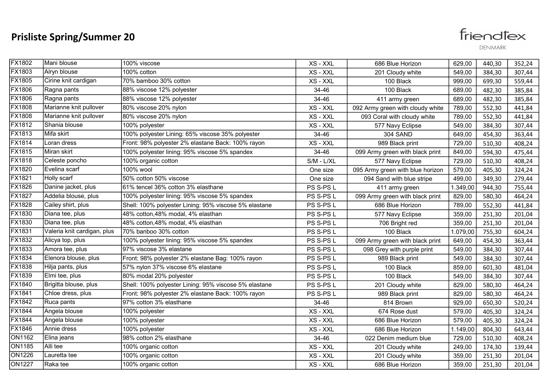friendfex

| FX1802        | Mani blouse                 | 100% viscose                                          | XS - XXL     | 686 Blue Horizon                 | 629,00   | 440,30 | 352,24 |
|---------------|-----------------------------|-------------------------------------------------------|--------------|----------------------------------|----------|--------|--------|
| FX1803        | Alryn blouse                | 100% cotton                                           | XS - XXL     | 201 Cloudy white                 | 549,00   | 384,30 | 307,44 |
| FX1805        | Cirine knit cardigan        | 70% bamboo 30% cotton                                 | XS - XXL     | 100 Black                        | 999,00   | 699,30 | 559,44 |
| <b>FX1806</b> | Ragna pants                 | 88% viscose 12% polyester                             | 34-46        | 100 Black                        | 689,00   | 482,30 | 385,84 |
| <b>FX1806</b> | Ragna pants                 | 88% viscose 12% polyester                             | 34-46        | 411 army green                   | 689,00   | 482,30 | 385,84 |
| <b>FX1808</b> | Marianne knit pullover      | 80% viscose 20% nylon                                 | XS - XXL     | 092 Army green with cloudy white | 789,00   | 552,30 | 441,84 |
| <b>FX1808</b> | Marianne knit pullover      | 80% viscose 20% nylon                                 | XS - XXL     | 093 Coral with cloudy white      | 789,00   | 552,30 | 441,84 |
| FX1812        | Shania blouse               | 100% polyester                                        | XS - XXL     | 577 Navy Eclipse                 | 549,00   | 384,30 | 307,44 |
| FX1813        | Mifa skirt                  | 100% polyester Lining: 65% viscose 35% polyester      | 34-46        | 304 SAND                         | 649,00   | 454,30 | 363,44 |
| FX1814        | Loran dress                 | Front: 98% polyester 2% elastane Back: 100% rayon     | XS - XXL     | 989 Black print                  | 729,00   | 510,30 | 408,24 |
| FX1815        | Miran skirt                 | 100% polyester lining: 95% viscose 5% spandex         | 34-46        | 099 Army green with black print  | 849,00   | 594,30 | 475,44 |
| <b>FX1818</b> | Celeste poncho              | 100% organic cotton                                   | $S/M - L/XL$ | 577 Navy Eclipse                 | 729,00   | 510,30 | 408,24 |
| <b>FX1820</b> | Evelina scarf               | 100% wool                                             | One size     | 095 Army green with blue horizon | 579,00   | 405,30 | 324,24 |
| FX1821        | Holly scarf                 | 50% cotton 50% viscose                                | One size     | 094 Sand with blue stripe        | 499,00   | 349,30 | 279,44 |
| <b>FX1826</b> | Danine jacket, plus         | 61% tencel 36% cotton 3% elasthane                    | PS S-PS L    | 411 army green                   | 1.349,00 | 944,30 | 755,44 |
| FX1827        | Addelia blouse, plus        | 100% polyester lining: 95% viscose 5% spandex         | PS S-PS L    | 099 Army green with black print  | 829,00   | 580,30 | 464,24 |
| FX1828        | Cailey shirt, plus          | Shell: 100% polyester Lining: 95% viscose 5% elastane | PS S-PS L    | 686 Blue Horizon                 | 789,00   | 552,30 | 441,84 |
| FX1830        | Diana tee, plus             | 48% cotton, 48% modal, 4% elasthan                    | PS S-PS L    | 577 Navy Eclipse                 | 359,00   | 251,30 | 201,04 |
| FX1830        | Diana tee, plus             | 48% cotton, 48% modal, 4% elasthan                    | PS S-PS L    | 706 Bright red                   | 359,00   | 251,30 | 201,04 |
| FX1831        | Valeria knit cardigan, plus | 70% banboo 30% cotton                                 | PS S-PS L    | 100 Black                        | 1.079,00 | 755,30 | 604,24 |
| FX1832        | Alicya top, plus            | 100% polyester lining: 95% viscose 5% spandex         | PS S-PS L    | 099 Army green with black print  | 649,00   | 454,30 | 363,44 |
| FX1833        | Amora tee, plus             | 97% viscose 3% elastane                               | PS S-PS L    | 098 Grey with purple print       | 549,00   | 384,30 | 307,44 |
| FX1834        | Elenora blouse, plus        | Front: 98% polyester 2% elastane Bag: 100% rayon      | PS S-PS L    | 989 Black print                  | 549,00   | 384,30 | 307,44 |
| FX1838        | Hilja pants, plus           | 57% nylon 37% viscose 6% elastane                     | PS S-PS L    | 100 Black                        | 859,00   | 601,30 | 481,04 |
| FX1839        | Elmi tee, plus              | 80% modal 20% polyester                               | PS S-PS L    | 100 Black                        | 549,00   | 384,30 | 307,44 |
| <b>FX1840</b> | Brigitta blouse, plus       | Shell: 100% polyester Lining: 95% viscose 5% elastane | PS S-PS L    | 201 Cloudy white                 | 829,00   | 580,30 | 464,24 |
| <b>FX1841</b> | Chloe dress, plus           | Front: 98% polyester 2% elastane Back: 100% rayon     | PS S-PS L    | 989 Black print                  | 829,00   | 580,30 | 464,24 |
| <b>FX1842</b> | Ruca pants                  | 97% cotton 3% elasthane                               | 34-46        | 814 Brown                        | 929,00   | 650,30 | 520,24 |
| <b>FX1844</b> | Angela blouse               | 100% polyester                                        | XS - XXL     | 674 Rose dust                    | 579,00   | 405,30 | 324,24 |
| <b>FX1844</b> | Angela blouse               | 100% polyester                                        | XS - XXL     | 686 Blue Horizon                 | 579,00   | 405,30 | 324,24 |
| <b>FX1846</b> | Annie dress                 | 100% polyester                                        | XS - XXL     | 686 Blue Horizon                 | 1.149,00 | 804,30 | 643,44 |
| <b>ON1162</b> | Elina jeans                 | 98% cotton 2% elasthane                               | 34-46        | 022 Denim medium blue            | 729,00   | 510,30 | 408,24 |
| <b>ON1185</b> | Alli tee                    | 100% organic cotton                                   | XS - XXL     | 201 Cloudy white                 | 249,00   | 174,30 | 139,44 |
| <b>ON1226</b> | Lauretta tee                | 100% organic cotton                                   | XS - XXL     | 201 Cloudy white                 | 359,00   | 251,30 | 201,04 |
| <b>ON1227</b> | Raka tee                    | 100% organic cotton                                   | XS - XXL     | 686 Blue Horizon                 | 359,00   | 251,30 | 201,04 |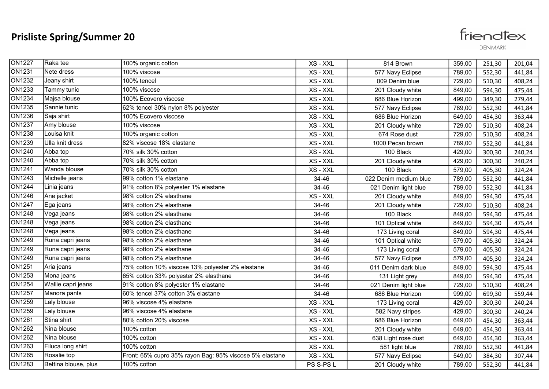friendfex

| 100% viscose<br>Nete dress<br>XS - XXL<br>577 Navy Eclipse<br>789,00<br>552,30<br>441,84<br>Jeany shirt<br>100% tencel<br>XS - XXL<br>009 Denim blue<br>729,00<br>510,30<br>408,24<br>Tammy tunic<br>100% viscose<br>XS - XXL<br>201 Cloudy white<br>849,00<br>594,30<br>475,44<br>Majsa blouse<br>100% Ecovero viscose<br>XS - XXL<br>686 Blue Horizon<br>499,00<br>349,30<br>279,44<br>62% tencel 30% nylon 8% polyester<br>Sannie tunic<br>XS - XXL<br>577 Navy Eclipse<br>789,00<br>441,84<br>552,30<br>100% Ecovero viscose<br>Saja shirt<br>XS - XXL<br>686 Blue Horizon<br>649,00<br>454,30<br>363,44<br>Amy blouse<br>100% viscose<br>XS - XXL<br>201 Cloudy white<br>729,00<br>408,24<br>510,30<br>Louisa knit<br>XS - XXL<br>674 Rose dust<br>100% organic cotton<br>729,00<br>510,30<br>408,24<br>Ulla knit dress<br>82% viscose 18% elastane<br>XS - XXL<br>1000 Pecan brown<br>789,00<br>552,30<br>441,84<br>70% silk 30% cotton<br>XS - XXL<br>Abba top<br>100 Black<br>429,00<br>300,30<br>240,24<br>Abba top<br>70% silk 30% cotton<br>XS - XXL<br>201 Cloudy white<br>429,00<br>300,30<br>240,24<br>Wanda blouse<br>70% silk 30% cotton<br>XS - XXL<br>100 Black<br>579,00<br>405,30<br>324,24<br>Michelle jeans<br>99% cotton 1% elastane<br>34-46<br>022 Denim medium blue<br>789,00<br>552,30<br>441,84<br>Linia jeans<br>91% cotton 8% polyester 1% elastane<br>34-46<br>789,00<br>021 Denim light blue<br>552,30<br>441,84<br>Ane jacket<br>98% cotton 2% elasthane<br>XS - XXL<br>201 Cloudy white<br>849,00<br>594,30<br>475,44<br>98% cotton 2% elasthane<br>34-46<br>Ega jeans<br>201 Cloudy white<br>729,00<br>510,30<br>408,24<br>98% cotton 2% elasthane<br>Vega jeans<br>34-46<br>100 Black<br>849,00<br>594,30<br>475,44<br>98% cotton 2% elasthane<br>Vega jeans<br>34-46<br>475,44<br>101 Optical white<br>849,00<br>594,30<br>Vega jeans<br>98% cotton 2% elasthane<br>475,44<br>34-46<br>173 Living coral<br>849,00<br>594,30<br>Runa capri jeans<br>98% cotton 2% elasthane<br>101 Optical white<br>34-46<br>579,00<br>405,30<br>324,24<br>98% cotton 2% elasthane<br>Runa capri jeans<br>34-46<br>173 Living coral<br>579,00<br>405,30<br>324,24<br>98% cotton 2% elasthane<br>Runa capri jeans<br>34-46<br>577 Navy Eclipse<br>579,00<br>324,24<br>405,30<br>75% cotton 10% viscose 13% polyester 2% elastane<br>Aria jeans<br>34-46<br>011 Denim dark blue<br>849,00<br>594,30<br>475,44<br>65% cotton 33% polyester 2% elasthane<br>Mona jeans<br>475,44<br>34-46<br>849,00<br>594,30<br>131 Light grey<br>91% cotton 8% polyester 1% elastane<br>Wallie capri jeans<br>34-46<br>021 Denim light blue<br>729,00<br>510,30<br>408,24<br>60% tencel 37% cotton 3% elastane<br>Manora pants<br>559,44<br>34-46<br>686 Blue Horizon<br>999,00<br>699,30<br>Laly blouse<br>96% viscose 4% elastane<br>XS - XXL<br>429,00<br>240,24<br>173 Living coral<br>300,30<br>Laly blouse<br>96% viscose 4% elastane<br>XS - XXL<br>582 Navy stripes<br>429,00<br>240,24<br>300,30<br>Stina shirt<br>80% cotton 20% viscose<br>XS - XXL<br>686 Blue Horizon<br>649,00<br>454,30<br>363,44<br>Nina blouse<br>100% cotton<br>XS - XXL<br>201 Cloudy white<br>649,00<br>363,44<br>454,30<br>Nina blouse<br>100% cotton<br>XS - XXL<br>638 Light rose dust<br>363,44<br>649,00<br>454,30<br>Filuca long shirt<br>100% cotton<br>XS - XXL<br>581 light blue<br>789,00<br>552,30<br>441,84<br>Rosalie top<br>Front: 65% cupro 35% rayon Bag: 95% viscose 5% elastane<br>XS - XXL<br>577 Navy Eclipse<br>549,00<br>384,30<br>307,44<br>Bettina blouse, plus<br>100% cotton<br>PS S-PS L<br>201 Cloudy white<br>789,00<br>441,84<br>552,30 | ON1227        | Raka tee | 100% organic cotton | XS - XXL | 814 Brown | 359,00 | 251,30 | 201,04 |
|-------------------------------------------------------------------------------------------------------------------------------------------------------------------------------------------------------------------------------------------------------------------------------------------------------------------------------------------------------------------------------------------------------------------------------------------------------------------------------------------------------------------------------------------------------------------------------------------------------------------------------------------------------------------------------------------------------------------------------------------------------------------------------------------------------------------------------------------------------------------------------------------------------------------------------------------------------------------------------------------------------------------------------------------------------------------------------------------------------------------------------------------------------------------------------------------------------------------------------------------------------------------------------------------------------------------------------------------------------------------------------------------------------------------------------------------------------------------------------------------------------------------------------------------------------------------------------------------------------------------------------------------------------------------------------------------------------------------------------------------------------------------------------------------------------------------------------------------------------------------------------------------------------------------------------------------------------------------------------------------------------------------------------------------------------------------------------------------------------------------------------------------------------------------------------------------------------------------------------------------------------------------------------------------------------------------------------------------------------------------------------------------------------------------------------------------------------------------------------------------------------------------------------------------------------------------------------------------------------------------------------------------------------------------------------------------------------------------------------------------------------------------------------------------------------------------------------------------------------------------------------------------------------------------------------------------------------------------------------------------------------------------------------------------------------------------------------------------------------------------------------------------------------------------------------------------------------------------------------------------------------------------------------------------------------------------------------------------------------------------------------------------------------------------------------------------------------------------------------------------------------------------------------------------------------------------------------------------------------------------------------------------------------------|---------------|----------|---------------------|----------|-----------|--------|--------|--------|
| <b>ON1233</b><br><b>ON1234</b><br><b>ON1235</b><br>ON1236<br><b>ON1237</b><br>ON1238<br><b>ON1239</b><br><b>ON1240</b><br><b>ON1240</b><br><b>ON1241</b><br><b>ON1243</b><br><b>ON1244</b><br><b>ON1246</b><br><b>ON1247</b><br><b>ON1248</b><br><b>ON1248</b><br><b>ON1248</b><br><b>ON1249</b><br><b>ON1249</b><br>ON1249<br>ON1251<br><b>ON1253</b><br><b>ON1254</b><br><b>ON1257</b><br><b>ON1259</b><br><b>ON1259</b><br><b>ON1261</b><br><b>ON1262</b><br><b>ON1262</b><br><b>ON1263</b><br><b>ON1265</b><br><b>ON1283</b>                                                                                                                                                                                                                                                                                                                                                                                                                                                                                                                                                                                                                                                                                                                                                                                                                                                                                                                                                                                                                                                                                                                                                                                                                                                                                                                                                                                                                                                                                                                                                                                                                                                                                                                                                                                                                                                                                                                                                                                                                                                                                                                                                                                                                                                                                                                                                                                                                                                                                                                                                                                                                                                                                                                                                                                                                                                                                                                                                                                                                                                                                                                            | <b>ON1231</b> |          |                     |          |           |        |        |        |
|                                                                                                                                                                                                                                                                                                                                                                                                                                                                                                                                                                                                                                                                                                                                                                                                                                                                                                                                                                                                                                                                                                                                                                                                                                                                                                                                                                                                                                                                                                                                                                                                                                                                                                                                                                                                                                                                                                                                                                                                                                                                                                                                                                                                                                                                                                                                                                                                                                                                                                                                                                                                                                                                                                                                                                                                                                                                                                                                                                                                                                                                                                                                                                                                                                                                                                                                                                                                                                                                                                                                                                                                                                                             | <b>ON1232</b> |          |                     |          |           |        |        |        |
|                                                                                                                                                                                                                                                                                                                                                                                                                                                                                                                                                                                                                                                                                                                                                                                                                                                                                                                                                                                                                                                                                                                                                                                                                                                                                                                                                                                                                                                                                                                                                                                                                                                                                                                                                                                                                                                                                                                                                                                                                                                                                                                                                                                                                                                                                                                                                                                                                                                                                                                                                                                                                                                                                                                                                                                                                                                                                                                                                                                                                                                                                                                                                                                                                                                                                                                                                                                                                                                                                                                                                                                                                                                             |               |          |                     |          |           |        |        |        |
|                                                                                                                                                                                                                                                                                                                                                                                                                                                                                                                                                                                                                                                                                                                                                                                                                                                                                                                                                                                                                                                                                                                                                                                                                                                                                                                                                                                                                                                                                                                                                                                                                                                                                                                                                                                                                                                                                                                                                                                                                                                                                                                                                                                                                                                                                                                                                                                                                                                                                                                                                                                                                                                                                                                                                                                                                                                                                                                                                                                                                                                                                                                                                                                                                                                                                                                                                                                                                                                                                                                                                                                                                                                             |               |          |                     |          |           |        |        |        |
|                                                                                                                                                                                                                                                                                                                                                                                                                                                                                                                                                                                                                                                                                                                                                                                                                                                                                                                                                                                                                                                                                                                                                                                                                                                                                                                                                                                                                                                                                                                                                                                                                                                                                                                                                                                                                                                                                                                                                                                                                                                                                                                                                                                                                                                                                                                                                                                                                                                                                                                                                                                                                                                                                                                                                                                                                                                                                                                                                                                                                                                                                                                                                                                                                                                                                                                                                                                                                                                                                                                                                                                                                                                             |               |          |                     |          |           |        |        |        |
|                                                                                                                                                                                                                                                                                                                                                                                                                                                                                                                                                                                                                                                                                                                                                                                                                                                                                                                                                                                                                                                                                                                                                                                                                                                                                                                                                                                                                                                                                                                                                                                                                                                                                                                                                                                                                                                                                                                                                                                                                                                                                                                                                                                                                                                                                                                                                                                                                                                                                                                                                                                                                                                                                                                                                                                                                                                                                                                                                                                                                                                                                                                                                                                                                                                                                                                                                                                                                                                                                                                                                                                                                                                             |               |          |                     |          |           |        |        |        |
|                                                                                                                                                                                                                                                                                                                                                                                                                                                                                                                                                                                                                                                                                                                                                                                                                                                                                                                                                                                                                                                                                                                                                                                                                                                                                                                                                                                                                                                                                                                                                                                                                                                                                                                                                                                                                                                                                                                                                                                                                                                                                                                                                                                                                                                                                                                                                                                                                                                                                                                                                                                                                                                                                                                                                                                                                                                                                                                                                                                                                                                                                                                                                                                                                                                                                                                                                                                                                                                                                                                                                                                                                                                             |               |          |                     |          |           |        |        |        |
|                                                                                                                                                                                                                                                                                                                                                                                                                                                                                                                                                                                                                                                                                                                                                                                                                                                                                                                                                                                                                                                                                                                                                                                                                                                                                                                                                                                                                                                                                                                                                                                                                                                                                                                                                                                                                                                                                                                                                                                                                                                                                                                                                                                                                                                                                                                                                                                                                                                                                                                                                                                                                                                                                                                                                                                                                                                                                                                                                                                                                                                                                                                                                                                                                                                                                                                                                                                                                                                                                                                                                                                                                                                             |               |          |                     |          |           |        |        |        |
|                                                                                                                                                                                                                                                                                                                                                                                                                                                                                                                                                                                                                                                                                                                                                                                                                                                                                                                                                                                                                                                                                                                                                                                                                                                                                                                                                                                                                                                                                                                                                                                                                                                                                                                                                                                                                                                                                                                                                                                                                                                                                                                                                                                                                                                                                                                                                                                                                                                                                                                                                                                                                                                                                                                                                                                                                                                                                                                                                                                                                                                                                                                                                                                                                                                                                                                                                                                                                                                                                                                                                                                                                                                             |               |          |                     |          |           |        |        |        |
|                                                                                                                                                                                                                                                                                                                                                                                                                                                                                                                                                                                                                                                                                                                                                                                                                                                                                                                                                                                                                                                                                                                                                                                                                                                                                                                                                                                                                                                                                                                                                                                                                                                                                                                                                                                                                                                                                                                                                                                                                                                                                                                                                                                                                                                                                                                                                                                                                                                                                                                                                                                                                                                                                                                                                                                                                                                                                                                                                                                                                                                                                                                                                                                                                                                                                                                                                                                                                                                                                                                                                                                                                                                             |               |          |                     |          |           |        |        |        |
|                                                                                                                                                                                                                                                                                                                                                                                                                                                                                                                                                                                                                                                                                                                                                                                                                                                                                                                                                                                                                                                                                                                                                                                                                                                                                                                                                                                                                                                                                                                                                                                                                                                                                                                                                                                                                                                                                                                                                                                                                                                                                                                                                                                                                                                                                                                                                                                                                                                                                                                                                                                                                                                                                                                                                                                                                                                                                                                                                                                                                                                                                                                                                                                                                                                                                                                                                                                                                                                                                                                                                                                                                                                             |               |          |                     |          |           |        |        |        |
|                                                                                                                                                                                                                                                                                                                                                                                                                                                                                                                                                                                                                                                                                                                                                                                                                                                                                                                                                                                                                                                                                                                                                                                                                                                                                                                                                                                                                                                                                                                                                                                                                                                                                                                                                                                                                                                                                                                                                                                                                                                                                                                                                                                                                                                                                                                                                                                                                                                                                                                                                                                                                                                                                                                                                                                                                                                                                                                                                                                                                                                                                                                                                                                                                                                                                                                                                                                                                                                                                                                                                                                                                                                             |               |          |                     |          |           |        |        |        |
|                                                                                                                                                                                                                                                                                                                                                                                                                                                                                                                                                                                                                                                                                                                                                                                                                                                                                                                                                                                                                                                                                                                                                                                                                                                                                                                                                                                                                                                                                                                                                                                                                                                                                                                                                                                                                                                                                                                                                                                                                                                                                                                                                                                                                                                                                                                                                                                                                                                                                                                                                                                                                                                                                                                                                                                                                                                                                                                                                                                                                                                                                                                                                                                                                                                                                                                                                                                                                                                                                                                                                                                                                                                             |               |          |                     |          |           |        |        |        |
|                                                                                                                                                                                                                                                                                                                                                                                                                                                                                                                                                                                                                                                                                                                                                                                                                                                                                                                                                                                                                                                                                                                                                                                                                                                                                                                                                                                                                                                                                                                                                                                                                                                                                                                                                                                                                                                                                                                                                                                                                                                                                                                                                                                                                                                                                                                                                                                                                                                                                                                                                                                                                                                                                                                                                                                                                                                                                                                                                                                                                                                                                                                                                                                                                                                                                                                                                                                                                                                                                                                                                                                                                                                             |               |          |                     |          |           |        |        |        |
|                                                                                                                                                                                                                                                                                                                                                                                                                                                                                                                                                                                                                                                                                                                                                                                                                                                                                                                                                                                                                                                                                                                                                                                                                                                                                                                                                                                                                                                                                                                                                                                                                                                                                                                                                                                                                                                                                                                                                                                                                                                                                                                                                                                                                                                                                                                                                                                                                                                                                                                                                                                                                                                                                                                                                                                                                                                                                                                                                                                                                                                                                                                                                                                                                                                                                                                                                                                                                                                                                                                                                                                                                                                             |               |          |                     |          |           |        |        |        |
|                                                                                                                                                                                                                                                                                                                                                                                                                                                                                                                                                                                                                                                                                                                                                                                                                                                                                                                                                                                                                                                                                                                                                                                                                                                                                                                                                                                                                                                                                                                                                                                                                                                                                                                                                                                                                                                                                                                                                                                                                                                                                                                                                                                                                                                                                                                                                                                                                                                                                                                                                                                                                                                                                                                                                                                                                                                                                                                                                                                                                                                                                                                                                                                                                                                                                                                                                                                                                                                                                                                                                                                                                                                             |               |          |                     |          |           |        |        |        |
|                                                                                                                                                                                                                                                                                                                                                                                                                                                                                                                                                                                                                                                                                                                                                                                                                                                                                                                                                                                                                                                                                                                                                                                                                                                                                                                                                                                                                                                                                                                                                                                                                                                                                                                                                                                                                                                                                                                                                                                                                                                                                                                                                                                                                                                                                                                                                                                                                                                                                                                                                                                                                                                                                                                                                                                                                                                                                                                                                                                                                                                                                                                                                                                                                                                                                                                                                                                                                                                                                                                                                                                                                                                             |               |          |                     |          |           |        |        |        |
|                                                                                                                                                                                                                                                                                                                                                                                                                                                                                                                                                                                                                                                                                                                                                                                                                                                                                                                                                                                                                                                                                                                                                                                                                                                                                                                                                                                                                                                                                                                                                                                                                                                                                                                                                                                                                                                                                                                                                                                                                                                                                                                                                                                                                                                                                                                                                                                                                                                                                                                                                                                                                                                                                                                                                                                                                                                                                                                                                                                                                                                                                                                                                                                                                                                                                                                                                                                                                                                                                                                                                                                                                                                             |               |          |                     |          |           |        |        |        |
|                                                                                                                                                                                                                                                                                                                                                                                                                                                                                                                                                                                                                                                                                                                                                                                                                                                                                                                                                                                                                                                                                                                                                                                                                                                                                                                                                                                                                                                                                                                                                                                                                                                                                                                                                                                                                                                                                                                                                                                                                                                                                                                                                                                                                                                                                                                                                                                                                                                                                                                                                                                                                                                                                                                                                                                                                                                                                                                                                                                                                                                                                                                                                                                                                                                                                                                                                                                                                                                                                                                                                                                                                                                             |               |          |                     |          |           |        |        |        |
|                                                                                                                                                                                                                                                                                                                                                                                                                                                                                                                                                                                                                                                                                                                                                                                                                                                                                                                                                                                                                                                                                                                                                                                                                                                                                                                                                                                                                                                                                                                                                                                                                                                                                                                                                                                                                                                                                                                                                                                                                                                                                                                                                                                                                                                                                                                                                                                                                                                                                                                                                                                                                                                                                                                                                                                                                                                                                                                                                                                                                                                                                                                                                                                                                                                                                                                                                                                                                                                                                                                                                                                                                                                             |               |          |                     |          |           |        |        |        |
|                                                                                                                                                                                                                                                                                                                                                                                                                                                                                                                                                                                                                                                                                                                                                                                                                                                                                                                                                                                                                                                                                                                                                                                                                                                                                                                                                                                                                                                                                                                                                                                                                                                                                                                                                                                                                                                                                                                                                                                                                                                                                                                                                                                                                                                                                                                                                                                                                                                                                                                                                                                                                                                                                                                                                                                                                                                                                                                                                                                                                                                                                                                                                                                                                                                                                                                                                                                                                                                                                                                                                                                                                                                             |               |          |                     |          |           |        |        |        |
|                                                                                                                                                                                                                                                                                                                                                                                                                                                                                                                                                                                                                                                                                                                                                                                                                                                                                                                                                                                                                                                                                                                                                                                                                                                                                                                                                                                                                                                                                                                                                                                                                                                                                                                                                                                                                                                                                                                                                                                                                                                                                                                                                                                                                                                                                                                                                                                                                                                                                                                                                                                                                                                                                                                                                                                                                                                                                                                                                                                                                                                                                                                                                                                                                                                                                                                                                                                                                                                                                                                                                                                                                                                             |               |          |                     |          |           |        |        |        |
|                                                                                                                                                                                                                                                                                                                                                                                                                                                                                                                                                                                                                                                                                                                                                                                                                                                                                                                                                                                                                                                                                                                                                                                                                                                                                                                                                                                                                                                                                                                                                                                                                                                                                                                                                                                                                                                                                                                                                                                                                                                                                                                                                                                                                                                                                                                                                                                                                                                                                                                                                                                                                                                                                                                                                                                                                                                                                                                                                                                                                                                                                                                                                                                                                                                                                                                                                                                                                                                                                                                                                                                                                                                             |               |          |                     |          |           |        |        |        |
|                                                                                                                                                                                                                                                                                                                                                                                                                                                                                                                                                                                                                                                                                                                                                                                                                                                                                                                                                                                                                                                                                                                                                                                                                                                                                                                                                                                                                                                                                                                                                                                                                                                                                                                                                                                                                                                                                                                                                                                                                                                                                                                                                                                                                                                                                                                                                                                                                                                                                                                                                                                                                                                                                                                                                                                                                                                                                                                                                                                                                                                                                                                                                                                                                                                                                                                                                                                                                                                                                                                                                                                                                                                             |               |          |                     |          |           |        |        |        |
|                                                                                                                                                                                                                                                                                                                                                                                                                                                                                                                                                                                                                                                                                                                                                                                                                                                                                                                                                                                                                                                                                                                                                                                                                                                                                                                                                                                                                                                                                                                                                                                                                                                                                                                                                                                                                                                                                                                                                                                                                                                                                                                                                                                                                                                                                                                                                                                                                                                                                                                                                                                                                                                                                                                                                                                                                                                                                                                                                                                                                                                                                                                                                                                                                                                                                                                                                                                                                                                                                                                                                                                                                                                             |               |          |                     |          |           |        |        |        |
|                                                                                                                                                                                                                                                                                                                                                                                                                                                                                                                                                                                                                                                                                                                                                                                                                                                                                                                                                                                                                                                                                                                                                                                                                                                                                                                                                                                                                                                                                                                                                                                                                                                                                                                                                                                                                                                                                                                                                                                                                                                                                                                                                                                                                                                                                                                                                                                                                                                                                                                                                                                                                                                                                                                                                                                                                                                                                                                                                                                                                                                                                                                                                                                                                                                                                                                                                                                                                                                                                                                                                                                                                                                             |               |          |                     |          |           |        |        |        |
|                                                                                                                                                                                                                                                                                                                                                                                                                                                                                                                                                                                                                                                                                                                                                                                                                                                                                                                                                                                                                                                                                                                                                                                                                                                                                                                                                                                                                                                                                                                                                                                                                                                                                                                                                                                                                                                                                                                                                                                                                                                                                                                                                                                                                                                                                                                                                                                                                                                                                                                                                                                                                                                                                                                                                                                                                                                                                                                                                                                                                                                                                                                                                                                                                                                                                                                                                                                                                                                                                                                                                                                                                                                             |               |          |                     |          |           |        |        |        |
|                                                                                                                                                                                                                                                                                                                                                                                                                                                                                                                                                                                                                                                                                                                                                                                                                                                                                                                                                                                                                                                                                                                                                                                                                                                                                                                                                                                                                                                                                                                                                                                                                                                                                                                                                                                                                                                                                                                                                                                                                                                                                                                                                                                                                                                                                                                                                                                                                                                                                                                                                                                                                                                                                                                                                                                                                                                                                                                                                                                                                                                                                                                                                                                                                                                                                                                                                                                                                                                                                                                                                                                                                                                             |               |          |                     |          |           |        |        |        |
|                                                                                                                                                                                                                                                                                                                                                                                                                                                                                                                                                                                                                                                                                                                                                                                                                                                                                                                                                                                                                                                                                                                                                                                                                                                                                                                                                                                                                                                                                                                                                                                                                                                                                                                                                                                                                                                                                                                                                                                                                                                                                                                                                                                                                                                                                                                                                                                                                                                                                                                                                                                                                                                                                                                                                                                                                                                                                                                                                                                                                                                                                                                                                                                                                                                                                                                                                                                                                                                                                                                                                                                                                                                             |               |          |                     |          |           |        |        |        |
|                                                                                                                                                                                                                                                                                                                                                                                                                                                                                                                                                                                                                                                                                                                                                                                                                                                                                                                                                                                                                                                                                                                                                                                                                                                                                                                                                                                                                                                                                                                                                                                                                                                                                                                                                                                                                                                                                                                                                                                                                                                                                                                                                                                                                                                                                                                                                                                                                                                                                                                                                                                                                                                                                                                                                                                                                                                                                                                                                                                                                                                                                                                                                                                                                                                                                                                                                                                                                                                                                                                                                                                                                                                             |               |          |                     |          |           |        |        |        |
|                                                                                                                                                                                                                                                                                                                                                                                                                                                                                                                                                                                                                                                                                                                                                                                                                                                                                                                                                                                                                                                                                                                                                                                                                                                                                                                                                                                                                                                                                                                                                                                                                                                                                                                                                                                                                                                                                                                                                                                                                                                                                                                                                                                                                                                                                                                                                                                                                                                                                                                                                                                                                                                                                                                                                                                                                                                                                                                                                                                                                                                                                                                                                                                                                                                                                                                                                                                                                                                                                                                                                                                                                                                             |               |          |                     |          |           |        |        |        |
|                                                                                                                                                                                                                                                                                                                                                                                                                                                                                                                                                                                                                                                                                                                                                                                                                                                                                                                                                                                                                                                                                                                                                                                                                                                                                                                                                                                                                                                                                                                                                                                                                                                                                                                                                                                                                                                                                                                                                                                                                                                                                                                                                                                                                                                                                                                                                                                                                                                                                                                                                                                                                                                                                                                                                                                                                                                                                                                                                                                                                                                                                                                                                                                                                                                                                                                                                                                                                                                                                                                                                                                                                                                             |               |          |                     |          |           |        |        |        |
|                                                                                                                                                                                                                                                                                                                                                                                                                                                                                                                                                                                                                                                                                                                                                                                                                                                                                                                                                                                                                                                                                                                                                                                                                                                                                                                                                                                                                                                                                                                                                                                                                                                                                                                                                                                                                                                                                                                                                                                                                                                                                                                                                                                                                                                                                                                                                                                                                                                                                                                                                                                                                                                                                                                                                                                                                                                                                                                                                                                                                                                                                                                                                                                                                                                                                                                                                                                                                                                                                                                                                                                                                                                             |               |          |                     |          |           |        |        |        |
|                                                                                                                                                                                                                                                                                                                                                                                                                                                                                                                                                                                                                                                                                                                                                                                                                                                                                                                                                                                                                                                                                                                                                                                                                                                                                                                                                                                                                                                                                                                                                                                                                                                                                                                                                                                                                                                                                                                                                                                                                                                                                                                                                                                                                                                                                                                                                                                                                                                                                                                                                                                                                                                                                                                                                                                                                                                                                                                                                                                                                                                                                                                                                                                                                                                                                                                                                                                                                                                                                                                                                                                                                                                             |               |          |                     |          |           |        |        |        |